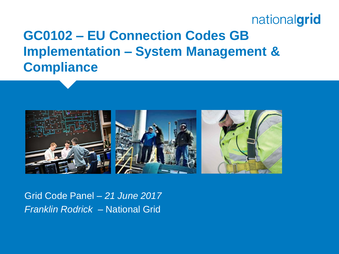### **GC0102 – EU Connection Codes GB Implementation – System Management & Compliance**



Grid Code Panel – *21 June 2017 Franklin Rodrick* – National Grid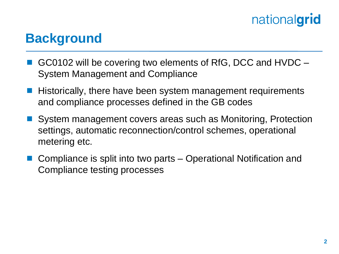### **Background**

- GC0102 will be covering two elements of RfG, DCC and HVDC System Management and Compliance
- Historically, there have been system management requirements and compliance processes defined in the GB codes
- System management covers areas such as Monitoring, Protection settings, automatic reconnection/control schemes, operational metering etc.
- Compliance is split into two parts Operational Notification and Compliance testing processes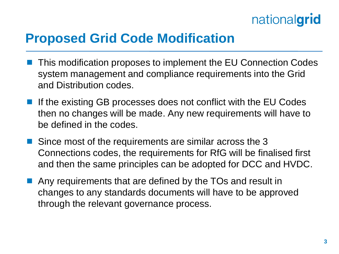

#### **Proposed Grid Code Modification**

- This modification proposes to implement the EU Connection Codes system management and compliance requirements into the Grid and Distribution codes.
- If the existing GB processes does not conflict with the EU Codes then no changes will be made. Any new requirements will have to be defined in the codes.
- Since most of the requirements are similar across the 3 Connections codes, the requirements for RfG will be finalised first and then the same principles can be adopted for DCC and HVDC.
- **Any requirements that are defined by the TOs and result in** changes to any standards documents will have to be approved through the relevant governance process.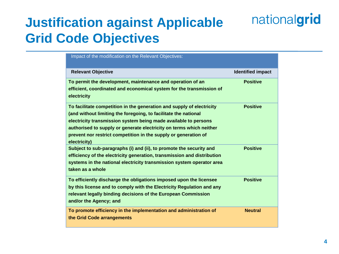## **Justification against Applicable Grid Code Objectives**

| Impact of the modification on the Relevant Objectives:                                                                                                                                                                                                                                                                                                                |                          |
|-----------------------------------------------------------------------------------------------------------------------------------------------------------------------------------------------------------------------------------------------------------------------------------------------------------------------------------------------------------------------|--------------------------|
| <b>Relevant Objective</b>                                                                                                                                                                                                                                                                                                                                             | <b>Identified impact</b> |
| To permit the development, maintenance and operation of an<br>efficient, coordinated and economical system for the transmission of<br>electricity                                                                                                                                                                                                                     | <b>Positive</b>          |
| To facilitate competition in the generation and supply of electricity<br>(and without limiting the foregoing, to facilitate the national<br>electricity transmission system being made available to persons<br>authorised to supply or generate electricity on terms which neither<br>prevent nor restrict competition in the supply or generation of<br>electricity) | <b>Positive</b>          |
| Subject to sub-paragraphs (i) and (ii), to promote the security and<br>efficiency of the electricity generation, transmission and distribution<br>systems in the national electricity transmission system operator area<br>taken as a whole                                                                                                                           | <b>Positive</b>          |
| To efficiently discharge the obligations imposed upon the licensee<br>by this license and to comply with the Electricity Regulation and any<br>relevant legally binding decisions of the European Commission<br>and/or the Agency; and                                                                                                                                | <b>Positive</b>          |
| To promote efficiency in the implementation and administration of<br>the Grid Code arrangements                                                                                                                                                                                                                                                                       | <b>Neutral</b>           |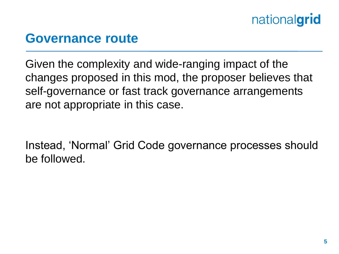#### **Governance route**

Given the complexity and wide-ranging impact of the changes proposed in this mod, the proposer believes that self-governance or fast track governance arrangements are not appropriate in this case.

Instead, 'Normal' Grid Code governance processes should be followed.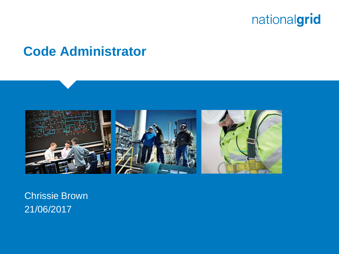

#### **Code Administrator**



Chrissie Brown 21/06/2017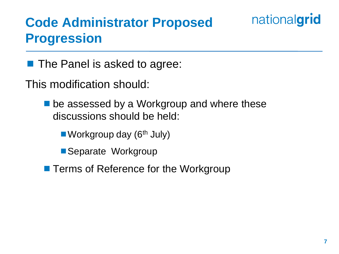## **Code Administrator Proposed Progression**

#### **The Panel is asked to agree:**

This modification should:

**De assessed by a Workgroup and where these** discussions should be held:

Workgroup day  $(6<sup>th</sup>$  July)

Separate Workgroup

**Terms of Reference for the Workgroup** 

nationalgrid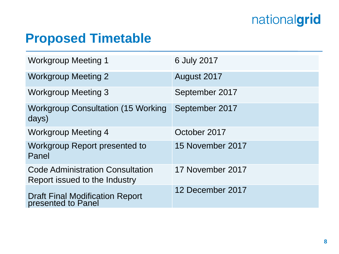### **Proposed Timetable**

| <b>Workgroup Meeting 1</b>                                               | 6 July 2017      |
|--------------------------------------------------------------------------|------------------|
| <b>Workgroup Meeting 2</b>                                               | August 2017      |
| <b>Workgroup Meeting 3</b>                                               | September 2017   |
| <b>Workgroup Consultation (15 Working)</b><br>days)                      | September 2017   |
| <b>Workgroup Meeting 4</b>                                               | October 2017     |
| Workgroup Report presented to<br>Panel                                   | 15 November 2017 |
| <b>Code Administration Consultation</b><br>Report issued to the Industry | 17 November 2017 |
| Draft Final Modification Report<br>presented to Panel                    | 12 December 2017 |